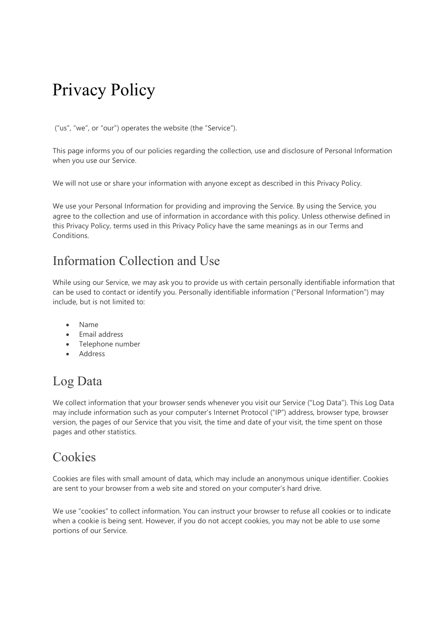# Privacy Policy

("us", "we", or "our") operates the website (the "Service").

This page informs you of our policies regarding the collection, use and disclosure of Personal Information when you use our Service.

We will not use or share your information with anyone except as described in this Privacy Policy.

We use your Personal Information for providing and improving the Service. By using the Service, you agree to the collection and use of information in accordance with this policy. Unless otherwise defined in this Privacy Policy, terms used in this Privacy Policy have the same meanings as in our Terms and Conditions.

## Information Collection and Use

While using our Service, we may ask you to provide us with certain personally identifiable information that can be used to contact or identify you. Personally identifiable information ("Personal Information") may include, but is not limited to:

- Name
- Email address
- Telephone number
- Address

## Log Data

We collect information that your browser sends whenever you visit our Service ("Log Data"). This Log Data may include information such as your computer's Internet Protocol ("IP") address, browser type, browser version, the pages of our Service that you visit, the time and date of your visit, the time spent on those pages and other statistics.

#### Cookies

Cookies are files with small amount of data, which may include an anonymous unique identifier. Cookies are sent to your browser from a web site and stored on your computer's hard drive.

We use "cookies" to collect information. You can instruct your browser to refuse all cookies or to indicate when a cookie is being sent. However, if you do not accept cookies, you may not be able to use some portions of our Service.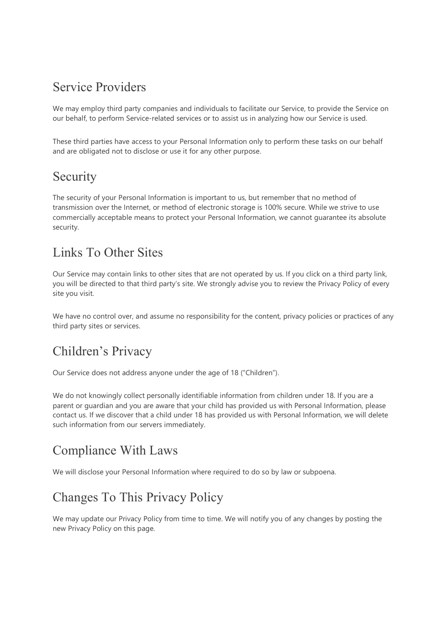#### Service Providers

We may employ third party companies and individuals to facilitate our Service, to provide the Service on our behalf, to perform Service-related services or to assist us in analyzing how our Service is used.

These third parties have access to your Personal Information only to perform these tasks on our behalf and are obligated not to disclose or use it for any other purpose.

#### Security

The security of your Personal Information is important to us, but remember that no method of transmission over the Internet, or method of electronic storage is 100% secure. While we strive to use commercially acceptable means to protect your Personal Information, we cannot guarantee its absolute security.

## Links To Other Sites

Our Service may contain links to other sites that are not operated by us. If you click on a third party link, you will be directed to that third party's site. We strongly advise you to review the Privacy Policy of every site you visit.

We have no control over, and assume no responsibility for the content, privacy policies or practices of any third party sites or services.

# Children's Privacy

Our Service does not address anyone under the age of 18 ("Children").

We do not knowingly collect personally identifiable information from children under 18. If you are a parent or guardian and you are aware that your child has provided us with Personal Information, please contact us. If we discover that a child under 18 has provided us with Personal Information, we will delete such information from our servers immediately.

## Compliance With Laws

We will disclose your Personal Information where required to do so by law or subpoena.

# Changes To This Privacy Policy

We may update our Privacy Policy from time to time. We will notify you of any changes by posting the new Privacy Policy on this page.